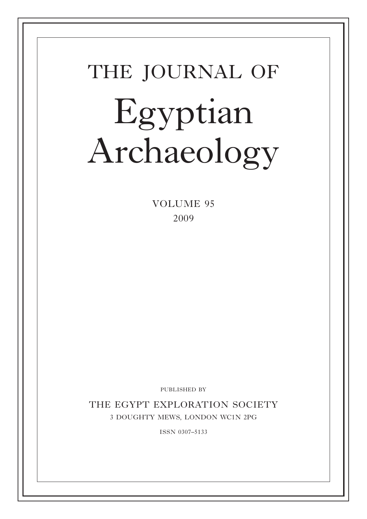# THE JOURNAL OF Egyptian Archaeology

VOLUME 95 2009

PUBLISHED BY

THE EGYPT EXPLORATION SOCIETY 3 doughty mews, london wc1n 2pg

issn 0307–5133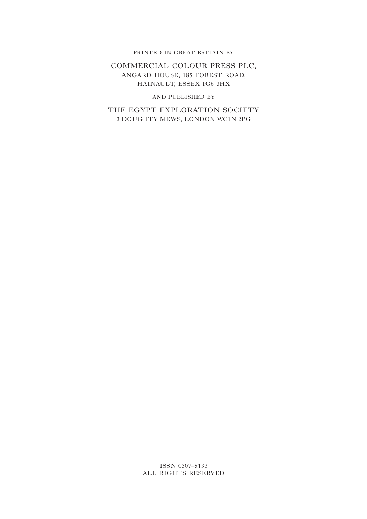#### PRINTED IN GREAT BRITAIN BY

#### Commercial Colour Press Plc, Angard House, 185 Forest Road, Hainault, Essex IG6 3HX

#### and published by

THE EGYPT EXPLORATION SOCIETY 3 doughty mews, london wc1n 2pg

#### ISSN 0307–5133 ALL RIGHTS RESERVED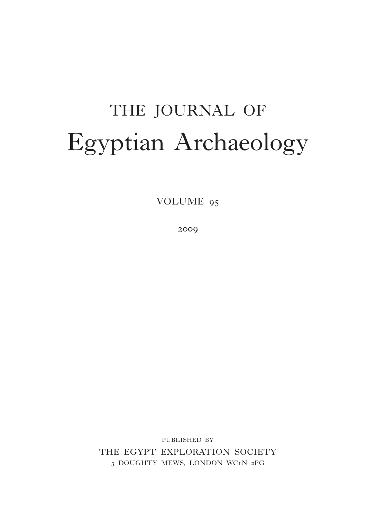# THE JOURNAL OF Egyptian Archaeology

VOLUME 95

2009

published by THE EGYPT EXPLORATION SOCIETY 3 DOUGHTY MEWS, LONDON WC1N 2PG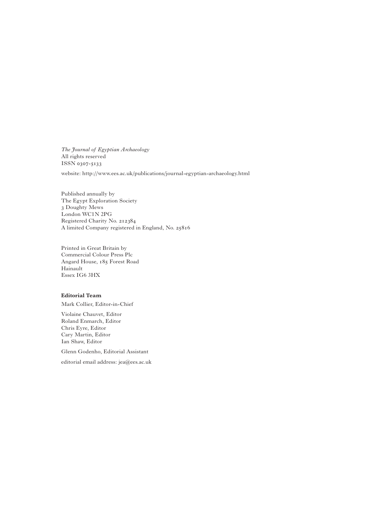*The Journal of Egyptian Archaeology* All rights reserved ISSN 0307-5133

website: http://www.ees.ac.uk/publications/journal-egyptian-archaeology.html

Published annually by The Egypt Exploration Society 3 Doughty Mews London WC1N 2PG Registered Charity No. 212384 A limited Company registered in England, No. 25816

Printed in Great Britain by Commercial Colour Press Plc Angard House, 185 Forest Road Hainault Essex IG6 3HX

#### **Editorial Team**

Mark Collier, Editor-in-Chief

Violaine Chauvet, Editor Roland Enmarch, Editor Chris Eyre, Editor Cary Martin, Editor Ian Shaw, Editor

Glenn Godenho, Editorial Assistant

editorial email address: jea@ees.ac.uk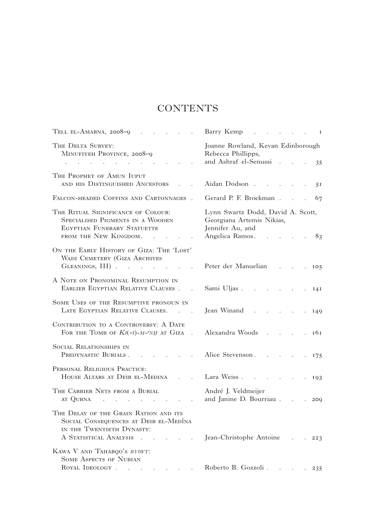# **CONTENTS**

| TELL EL-AMARNA, $2008-9$                                                                                                                                                                                                                                                                                                                                                                                                                                                                                            | Barry Kemp<br>$\cdots$ $\cdots$ $\cdots$ $\cdots$                                                           |
|---------------------------------------------------------------------------------------------------------------------------------------------------------------------------------------------------------------------------------------------------------------------------------------------------------------------------------------------------------------------------------------------------------------------------------------------------------------------------------------------------------------------|-------------------------------------------------------------------------------------------------------------|
| THE DELTA SURVEY:<br>MINUFIYEH PROVINCE, 2008-9<br>and the contract of the contract of the contract of                                                                                                                                                                                                                                                                                                                                                                                                              | Joanne Rowland, Kevan Edinborough<br>Rebecca Phillipps,<br>and Ashraf el-Senussi 35                         |
| THE PROPHET OF AMUN IUPUT                                                                                                                                                                                                                                                                                                                                                                                                                                                                                           |                                                                                                             |
| AND HIS DISTINGUISHED ANCESTORS                                                                                                                                                                                                                                                                                                                                                                                                                                                                                     | Aidan Dodson<br>5 <sup>I</sup>                                                                              |
| FALCON-HEADED COFFINS AND CARTONNAGES.                                                                                                                                                                                                                                                                                                                                                                                                                                                                              | Gerard P. F. Broekman<br>67                                                                                 |
| THE RITUAL SIGNIFICANCE OF COLOUR:<br>SPECIALISED PIGMENTS IN A WOODEN<br>EGYPTIAN FUNERARY STATUETTE<br>FROM THE NEW KINGDOM. .                                                                                                                                                                                                                                                                                                                                                                                    | Lynn Swartz Dodd, David A. Scott,<br>Georgiana Artemis Nikias,<br>Jennifer Au, and<br>Angelica Ramos.<br>83 |
| ON THE EARLY HISTORY OF GIZA: THE 'LOST'                                                                                                                                                                                                                                                                                                                                                                                                                                                                            |                                                                                                             |
| WADI CEMETERY (GIZA ARCHIVES<br>GLEANINGS, III)                                                                                                                                                                                                                                                                                                                                                                                                                                                                     | Peter der Manuelian 105                                                                                     |
| A NOTE ON PRONOMINAL RESUMPTION IN<br>EARLIER EGYPTIAN RELATIVE CLAUSES.                                                                                                                                                                                                                                                                                                                                                                                                                                            | Sami Uljas 141                                                                                              |
| SOME USES OF THE RESUMPTIVE PRONOUN IN<br>LATE EGYPTIAN RELATIVE CLAUSES.                                                                                                                                                                                                                                                                                                                                                                                                                                           | Jean Winand<br>$\mathcal{L}^{\text{max}}$<br>149                                                            |
| CONTRIBUTION TO A CONTROVERSY: A DATE<br>FOR THE TOMB OF $K_3(zI)$ -M-CNH AT GIZA<br>$\sim$                                                                                                                                                                                                                                                                                                                                                                                                                         | Alexandra Woods<br>. 161                                                                                    |
| <b>SOCIAL RELATIONSHIPS IN</b><br>PREDYNASTIC BURIALS.<br>$\mathcal{L}^{\mathcal{L}}(\mathcal{L}^{\mathcal{L}}(\mathcal{L}^{\mathcal{L}}(\mathcal{L}^{\mathcal{L}}(\mathcal{L}^{\mathcal{L}}(\mathcal{L}^{\mathcal{L}}(\mathcal{L}^{\mathcal{L}}(\mathcal{L}^{\mathcal{L}}(\mathcal{L}^{\mathcal{L}}(\mathcal{L}^{\mathcal{L}}(\mathcal{L}^{\mathcal{L}}(\mathcal{L}^{\mathcal{L}}(\mathcal{L}^{\mathcal{L}}(\mathcal{L}^{\mathcal{L}}(\mathcal{L}^{\mathcal{L}}(\mathcal{L}^{\mathcal{L}}(\mathcal{L}^{\mathcal{L$ | Alice Stevenson.<br>. 175                                                                                   |
| PERSONAL RELIGIOUS PRACTICE:<br>HOUSE ALTARS AT DEIR EL-MEDINA                                                                                                                                                                                                                                                                                                                                                                                                                                                      | Lara Weiss<br>$\mathcal{L}^{\text{max}}$<br>193                                                             |
| THE CARRIER NETS FROM A BURIAL<br>AT QURNA<br>$\mathcal{L}^{\mathcal{A}}$ . The contribution of the contribution of the contribution of $\mathcal{L}^{\mathcal{A}}$                                                                                                                                                                                                                                                                                                                                                 | André J. Veldmeijer<br>and Janine D. Bourriau 209                                                           |
| THE DELAY OF THE GRAIN RATION AND ITS<br>SOCIAL CONSEQUENCES AT DEIR EL-MEDÎNA<br>IN THE TWENTIETH DYNASTY:<br>A STATISTICAL ANALYSIS                                                                                                                                                                                                                                                                                                                                                                               | Jean-Christophe Antoine<br>$\cdot$ $.223$                                                                   |
| KAWA V AND TAHARQO'S BY3WT:<br><b>SOME ASPECTS OF NUBIAN</b><br>ROYAL IDEOLOGY                                                                                                                                                                                                                                                                                                                                                                                                                                      | Roberto B. Gozzoli                                                                                          |
|                                                                                                                                                                                                                                                                                                                                                                                                                                                                                                                     | 235                                                                                                         |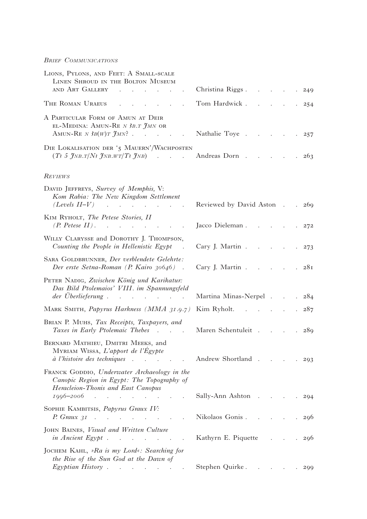#### *Brief Communications*

| LIONS, PYLONS, AND FEET: A SMALL-SCALE<br>LINEN SHROUD IN THE BOLTON MUSEUM<br>AND ART GALLERY<br>and the state of the state of the state of the                                                                                                                                                                | Christina Riggs.<br>$\mathcal{L}(\mathcal{A})$ . The set of $\mathcal{A}(\mathcal{A})$                                                                                                                                                                                                                                                                                                                                                                                       | 249                               |
|-----------------------------------------------------------------------------------------------------------------------------------------------------------------------------------------------------------------------------------------------------------------------------------------------------------------|------------------------------------------------------------------------------------------------------------------------------------------------------------------------------------------------------------------------------------------------------------------------------------------------------------------------------------------------------------------------------------------------------------------------------------------------------------------------------|-----------------------------------|
| THE ROMAN URAEUS                                                                                                                                                                                                                                                                                                | Tom Hardwick.<br>$\mathcal{L}(\mathcal{L}(\mathcal{L}(\mathcal{L}(\mathcal{L}(\mathcal{L}(\mathcal{L}(\mathcal{L}(\mathcal{L}(\mathcal{L}(\mathcal{L}(\mathcal{L}(\mathcal{L}(\mathcal{L}(\mathcal{L}(\mathcal{L}(\mathcal{L}(\mathcal{L}(\mathcal{L}(\mathcal{L}(\mathcal{L}(\mathcal{L}(\mathcal{L}(\mathcal{L}(\mathcal{L}(\mathcal{L}(\mathcal{L}(\mathcal{L}(\mathcal{L}(\mathcal{L}(\mathcal{L}(\mathcal{L}(\mathcal{L}(\mathcal{L}(\mathcal{L}(\mathcal{L}(\mathcal{$ | 254                               |
| A PARTICULAR FORM OF AMUN AT DEIR<br>EL-MEDINA: AMUN-RE N 3B.T JMN OR<br>AMUN-RE N $3B(W)T \ \mathcal{J}MN$ ?<br>$\mathbf{r}$                                                                                                                                                                                   | Nathalie Toye                                                                                                                                                                                                                                                                                                                                                                                                                                                                | 257<br>$\mathcal{L}^{\text{max}}$ |
| DIE LOKALISATION DER '5 MAUERN'/WACHPOSTEN<br>$(T_3 5 \frac{\gamma_{NB}}{\gamma_{NB}})$ $(T_3 3 \frac{\gamma_{NB}}{\gamma_{BB}})$ Andreas Dorn                                                                                                                                                                  |                                                                                                                                                                                                                                                                                                                                                                                                                                                                              | 263                               |
| REVIEWS                                                                                                                                                                                                                                                                                                         |                                                                                                                                                                                                                                                                                                                                                                                                                                                                              |                                   |
| DAVID JEFFREYS, Survey of Memphis, V:<br>Kom Rabia: The New Kingdom Settlement<br>$(Levels II-V)$<br>and the company of the company of                                                                                                                                                                          | Reviewed by David Aston.                                                                                                                                                                                                                                                                                                                                                                                                                                                     | 269                               |
| KIM RYHOLT, The Petese Stories, II<br>$(P. \text{ Peterse } II)$ .<br>$\mathcal{L}^{\mathcal{A}}$ . The set of the set of the set of the set of the set of the set of the set of the set of the set of the set of the set of the set of the set of the set of the set of the set of the set of the set of the s | Jacco Dieleman 272                                                                                                                                                                                                                                                                                                                                                                                                                                                           |                                   |
| WILLY CLARYSSE and DOROTHY J. THOMPSON,<br>Counting the People in Hellenistic Egypt                                                                                                                                                                                                                             | Cary J. Martin                                                                                                                                                                                                                                                                                                                                                                                                                                                               | $. \t273$                         |
| SARA GOLDBRUNNER, Der verblendete Gelehrte:<br>Der erste Setna-Roman (P. Kairo 30646)                                                                                                                                                                                                                           | Cary J. Martin $281$                                                                                                                                                                                                                                                                                                                                                                                                                                                         |                                   |
| PETER NADIG, Zwischen König und Karikatur:<br>Das Bild Ptolemaios' VIII. im Spannungsfeld                                                                                                                                                                                                                       | Martina Minas-Nerpel                                                                                                                                                                                                                                                                                                                                                                                                                                                         | 284<br>$\mathbf{r}$               |
| MARK SMITH, Papyrus Harkness (MMA 31.9.7)                                                                                                                                                                                                                                                                       | Kim Ryholt.                                                                                                                                                                                                                                                                                                                                                                                                                                                                  | 287                               |
| BRIAN P. MUHS, Tax Receipts, Taxpayers, and<br>Taxes in Early Ptolemaic Thebes                                                                                                                                                                                                                                  | Maren Schentuleit                                                                                                                                                                                                                                                                                                                                                                                                                                                            | 289                               |
| BERNARD MATHIEU, DMITRI MEEKS, and<br>MYRIAM WISSA, L'apport de l'Egypte<br>à l'histoire des techniques.                                                                                                                                                                                                        | . Andrew Shortland 293                                                                                                                                                                                                                                                                                                                                                                                                                                                       |                                   |
| FRANCK GODDIO, Underwater Archaeology in the<br>Canopic Region in Egypt: The Topography of<br>Heracleion-Thonis and East Canopus                                                                                                                                                                                |                                                                                                                                                                                                                                                                                                                                                                                                                                                                              |                                   |
| $1996 - 2006$                                                                                                                                                                                                                                                                                                   | Sally-Ann Ashton                                                                                                                                                                                                                                                                                                                                                                                                                                                             | 294                               |
| SOPHIE KAMBITSIS, Papyrus Graux IV:<br>P. Graux $3I$                                                                                                                                                                                                                                                            | Nikolaos Gonis 296                                                                                                                                                                                                                                                                                                                                                                                                                                                           |                                   |
| JOHN BAINES, Visual and Written Culture<br><i>in Ancient Egypt</i>                                                                                                                                                                                                                                              | Kathyrn E. Piquette 296                                                                                                                                                                                                                                                                                                                                                                                                                                                      |                                   |
| JOCHEM KAHL, »Ra is my Lord«: Searching for<br>the Rise of the Sun God at the Dawn of<br><i>Egyptian History</i>                                                                                                                                                                                                | Stephen Quirke. 299                                                                                                                                                                                                                                                                                                                                                                                                                                                          |                                   |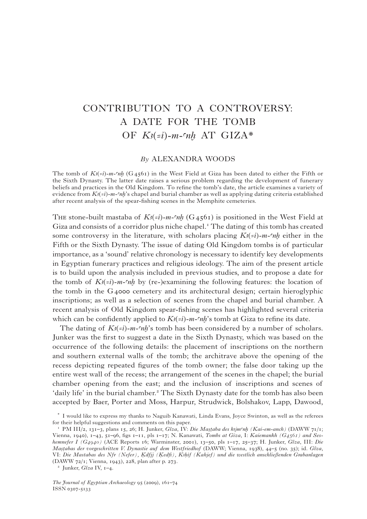# contribution to a controversy: a date for the tomb OF  $K_3$ ( $=i$ )-m-cnh AT GIZA\*

#### *By* Alexandra Woods

The tomb of  $K_{\ell}(i-m-mn)$  (G<sub>45</sub>61) in the West Field at Giza has been dated to either the Fifth or the Sixth Dynasty. The latter date raises a serious problem regarding the development of funerary beliefs and practices in the Old Kingdom. To refine the tomb's date, the article examines a variety of evidence from  $K_{\ell}(i)$ -m- $\eta$ *h*'s chapel and burial chamber as well as applying dating criteria established after recent analysis of the spear-fishing scenes in the Memphite cemeteries.

THE stone-built mastaba of  $K_3(\epsilon i)$ -*m*- $n,$  (G<sub>45</sub>61) is positioned in the West Field at Giza and consists of a corridor plus niche chapel.<sup>1</sup> The dating of this tomb has created some controversy in the literature, with scholars placing  $K_3(-i)$ -*m*- $n$ *h* either in the Fifth or the Sixth Dynasty. The issue of dating Old Kingdom tombs is of particular importance, as a 'sound' relative chronology is necessary to identify key developments in Egyptian funerary practices and religious ideology. The aim of the present article is to build upon the analysis included in previous studies, and to propose a date for the tomb of  $K_3(\epsilon i)$ -m-cnh by (re-)examining the following features: the location of the tomb in the G4000 cemetery and its architectural design; certain hieroglyphic inscriptions; as well as a selection of scenes from the chapel and burial chamber. A recent analysis of Old Kingdom spear-fishing scenes has highlighted several criteria which can be confidently applied to  $K_3(-i)$ -m- $n, n$ 's tomb at Giza to refine its date.

The dating of  $K_2(z_i)$ -m- $n_i$ 's tomb has been considered by a number of scholars. Junker was the first to suggest a date in the Sixth Dynasty, which was based on the occurrence of the following details: the placement of inscriptions on the northern and southern external walls of the tomb; the architrave above the opening of the recess depicting repeated figures of the tomb owner; the false door taking up the entire west wall of the recess; the arrangement of the scenes in the chapel; the burial chamber opening from the east; and the inclusion of inscriptions and scenes of 'daily life' in the burial chamber.<sup>2</sup> The Sixth Dynasty date for the tomb has also been accepted by Baer, Porter and Moss, Harpur, Strudwick, Bolshakov, Lapp, Dawood,

<sup>\*</sup> I would like to express my thanks to Naguib Kanawati, Linda Evans, Joyce Swinton, as well as the referees for their helpful suggestions and comments on this paper.

<sup>&</sup>lt;sup>1</sup> PM III/2, 131–3, plans 15, 26; H. Junker, *Gîza*, IV: *Die Mastaba des kijm*<sup>n</sup>/*n* (*Kai-em-anch*) (DAWW 71/1; Vienna, 1940), 1–43, 51–96, figs 1–11, pls 1–17; N. Kanawati, *Tombs at Giza*, I: *Kaiemankh (G4561) and Seshemnefer I (G4940)* (ACE Reports 16; Warminster, 2001), 13–50, pls 1–17, 25–37; H. Junker, *Gîza*, III: *Die Ma√fiabas der vorgeschritten V. Dynastie auf dem Westfriedhof* (DAWW; Vienna, 1938), 44–5 (no. 35); id. *Gîza*, VI: *Die Mastabas des Nfr (Nefer), Qdfjj (Qedfi), KAHif (Kahjef) und die westlich anschließenden Grabanlagen* (DAWW 72/1; Vienna, 1943), 228, plan after p. 273.

<sup>2</sup> Junker, *Gîza* IV, 1–4.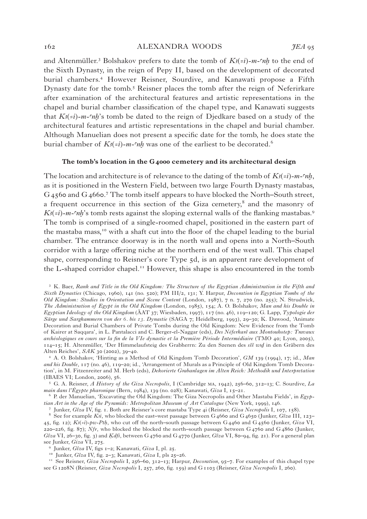#### 162 **alexandra MOODS** *JEA* 95

and Altenmüller.<sup>3</sup> Bolshakov prefers to date the tomb of  $K_3(z_i)$ -m- $n_i$  to the end of the Sixth Dynasty, in the reign of Pepy II, based on the development of decorated burial chambers.4 However Reisner, Sourdive, and Kanawati propose a Fifth Dynasty date for the tomb.5 Reisner places the tomb after the reign of Neferirkare after examination of the architectural features and artistic representations in the chapel and burial chamber classification of the chapel type, and Kanawati suggests that  $K_3(z_i)$ -m- $n_i$ 's tomb be dated to the reign of Djedkare based on a study of the architectural features and artistic representations in the chapel and burial chamber. Although Manuelian does not present a specific date for the tomb, he does state the burial chamber of  $K_3(z_i)$ -m- $n_i$  was one of the earliest to be decorated.<sup>6</sup>

#### **The tomb's location in the G4000 cemetery and its architectural design**

The location and architecture is of relevance to the dating of the tomb of  $K_3(\neq i)$ -m- $n,$ as it is positioned in the Western Field, between two large Fourth Dynasty mastabas, G<sub>45</sub>60 and G<sub>4</sub>660.<sup>7</sup> The tomb itself appears to have blocked the North–South street, a frequent occurrence in this section of the Giza cemetery,<sup>8</sup> and the masonry of  $K_3(-i)$ -m- $n_i$ 's tomb rests against the sloping external walls of the flanking mastabas.<sup>9</sup> The tomb is comprised of a single-roomed chapel, positioned in the eastern part of the mastaba mass,<sup>10</sup> with a shaft cut into the floor of the chapel leading to the burial chamber. The entrance doorway is in the north wall and opens into a North–South corridor with a large offering niche at the northern end of the west wall. This chapel shape, corresponding to Reisner's core Type 5d, is an apparent rare development of the L-shaped corridor chapel.11 However, this shape is also encountered in the tomb

<sup>3</sup> K. Baer, *Rank and Title in the Old Kingdom: The Structure of the Egyptian Administration in the Fifth and Sixth Dynasties* (Chicago, 1960), 141 (no. 520); PM III/2, 131; Y. Harpur, *Decoration in Egyptian Tombs of the Old Kingdom: Studies in Orientation and Scene Content* (London, 1987), 7 n. 7, 270 (no. 255); N. Strudwick, *The Administration of Egypt in the Old Kingdom* (London, 1985), 154; A. O. Bolshakov, *Man and his Double in Egyptian Ideology of the Old Kingdom* (ÄAT 37; Wiesbaden, 1997), 117 (no. 46), 119–120; G. Lapp, *Typologie der Särge und Sargkammern von der 6. bis 13. Dynastie* (SAGA 7; Heidelberg, 1993), 29–30; K. Dawood, 'Animate Decoration and Burial Chambers of Private Tombs during the Old Kingdom: New Evidence from the Tomb of Kairer at Saqqara', in L. Pantalacci and C. Berger-el-Naggar (eds), *Des Néferkarê aux Montouhotep: Travaux archéologiques en cours sur la fin de la VIe dynastie et la Première Période Intermédiaire* (TMO 40; Lyon, 2005), 114–15; H. Altenmüller, 'Der Himmelaufsteig des Grabherrn: Zu den Szenen des *sSS wAD* in den Gräbern des Alten Reiches', *SAK* 30 (2002), 39–40.

4 A. O. Bolshakov, 'Hinting as a Method of Old Kingdom Tomb Decoration', *GM* 139 (1994), 17; id., *Man and his Double*, 117 (no. 46), 119–20; id., 'Arrangement of Murals as a Principle of Old Kingdom Tomb Decoration', in M. Fitzenreiter and M. Herb (eds), *Dekorierte Grabanlagen im Alten Reich: Methodik und Interpretation* (IBAES VI; London, 2006), 56.

<sup>5</sup> G. A. Reisner, *A History of the Giza Necropolis*, I (Cambridge ma, 1942), 256–60, 312–13; C. Sourdive, *La main dans l'Égypte pharonique* (Bern, 1984), 139 (no. 028); Kanawati, *Giza* I, 15–21.

<sup>6</sup> P. der Manuelian, 'Excavating the Old Kingdom: The Giza Necropolis and Other Mastaba Fields', in *Egyptian Art in the Age of the Pyramids: Metropolitan Museum of Art Catalogue* (New York, 1999), 146.

<sup>7</sup> Junker, *Gîza* IV, fig. 1. Both are Reisner's core mastaba Type 4i (Reisner, *Giza Necropolis* I, 107, 158).

<sup>8</sup> See for example *Ki*, who blocked the east–west passage between G 4660 and G 4650 (Junker, *Gîza* III, 123– 45, fig. 12);  $K_3(\epsilon i)$ -*pw-Pth*, who cut off the north–south passage between G4460 and G4560 (Junker, *Giza* VI, 220–226, fig. 87); *Nfr*, who blocked the blocked the north–south passage between G4760 and G4860 (Junker, *Gîza* VI, 26–30, fig. 3) and *Kdfi*, between G4760 and G4770 (Junker, *Gîza* VI, 80–94, fig. 21). For a general plan see Junker, *Giza* VI, 275.

<sup>9</sup> Junker, *Gîza* IV, figs 1–2; Kanawati, *Giza* I, pl. 25.

<sup>10</sup> Junker, *Gîza* IV, fig. 2–3; Kanawati, *Giza* I, pls 25–26.

<sup>11</sup> See Reisner, *Giza Necropolis* I, 256–60, 312–13; Harpur, *Decoration*, 95–7. For examples of this chapel type see G1208N (Reisner, *Giza Necropolis* I, 257, 260, fig. 159) and G1103 (Reisner, *Giza Necropolis* I, 260).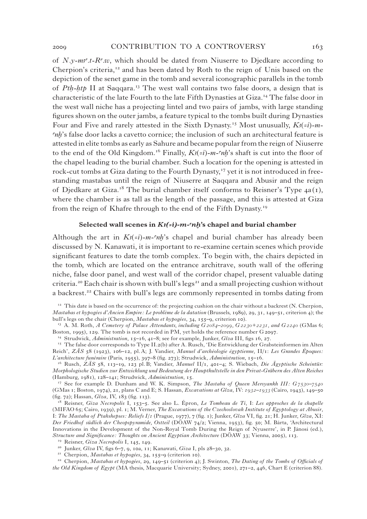of  $N.\gamma$ -m<sup>3</sup>.t-R<sup>c</sup>.w, which should be dated from Niuserre to Djedkare according to Cherpion's criteria,<sup>12</sup> and has been dated by Roth to the reign of Unis based on the depiction of the senet game in the tomb and several iconographic parallels in the tomb of *Pth-htp* II at Saqqara.<sup>13</sup> The west wall contains two false doors, a design that is characteristic of the late Fourth to the late Fifth Dynasties at Giza.14 The false door in the west wall niche has a projecting lintel and two pairs of jambs, with large standing figures shown on the outer jambs, a feature typical to the tombs built during Dynasties Four and Five and rarely attested in the Sixth Dynasty.<sup>15</sup> Most unusually,  $K_3(z_i)$ -m*nh*'s false door lacks a cavetto cornice; the inclusion of such an architectural feature is attested in elite tombs as early as Sahure and became popular from the reign of Niuserre to the end of the Old Kingdom.<sup>16</sup> Finally,  $K_3(z_i)$ -*m*- $n_i$ 's shaft is cut into the floor of the chapel leading to the burial chamber. Such a location for the opening is attested in rock-cut tombs at Giza dating to the Fourth Dynasty,<sup>17</sup> yet it is not introduced in freestanding mastabas until the reign of Niuserre at Saqqara and Abusir and the reign of Djedkare at Giza.<sup>18</sup> The burial chamber itself conforms to Reisner's Type  $4a(1)$ , where the chamber is as tall as the length of the passage, and this is attested at Giza from the reign of Khafre through to the end of the Fifth Dynasty.19

#### Selected wall scenes in  $K_3(-i)$ *-m-nh*'s chapel and burial chamber

Although the art in  $K_3(-i)$ -m- $n_i$ 's chapel and burial chamber has already been discussed by N. Kanawati, it is important to re-examine certain scenes which provide significant features to date the tomb complex. To begin with, the chairs depicted in the tomb, which are located on the entrance architrave, south wall of the offering niche, false door panel, and west wall of the corridor chapel, present valuable dating criteria.<sup>20</sup> Each chair is shown with bull's legs<sup>21</sup> and a small projecting cushion without a backrest.<sup>22</sup> Chairs with bull's legs are commonly represented in tombs dating from

<sup>14</sup> Strudwick, *Administration*, 15–16, 41–8; see for example, Junker, *Gîza* III, figs 16, 27.

<sup>17</sup> See for example D. Dunham and W. K. Simpson, *The Mastaba of Queen Mersyankh III: G7530–7540*  (GMas 1; Boston, 1974), 21, plans C and E; S. Hassan, *Excavations at Gîza*, IV: *1932–1933* (Cairo, 1943), 149–50 (fig. 72); Hassan, *Gîza*, IV, 183 (fig. 113).

18 Reisner, *Giza Necropolis* I, 153–5. See also L. Épron, *Le Tombeau de Ti*, I: *Les approches de la chapelle* (MIFAO 65; Cairo, 1939), pl. 1; M. Verner, *The Excavations of the Czechoslovak Institute of Egyptology at Abusir*, I: *The Mastaba of Ptahshepses: Reliefs I/1* (Prague, 1977), 7 (fig. 1); Junker, *Gîza* VI, fig. 21; H. Junker, *Gîza*, XI: *Der Friedhof südlich der Cheopspyramide, Ostteil* (DÖAW 74/2; Vienna, 1953), fig. 50; M. Bárta, 'Architectural Innovations in the Development of the Non-Royal Tomb During the Reign of Nyuserre', in P. Jánosi (ed.), *Structure and Significance: Thoughts on Ancient Egyptian Architecture* (DÖAW 33; Vienna, 2005), 113.

<sup>20</sup> Junker, *Gîza* IV, figs 6–7, 9, 10a, 11; Kanawati, *Giza* I, pls 28–30, 32.

21 Cherpion, *Mastabas et hypogées*, 34, 155–9 (criterion 10).

22 Cherpion, *Mastabas et hypogées*, 29, 149–51 (criterion 4); J. Swinton, *The Dating of the Tombs of Officials of the Old Kingdom of Egypt* (MA thesis, Macquarie University; Sydney, 2001), 271–2, 446, Chart E (criterion 88).

<sup>&</sup>lt;sup>12</sup> This date is based on the occurrence of: the projecting cushion on the chair without a backrest (N. Cherpion, *Mastabas et hypogées d'Ancien Empire: Le problème de la datation* (Brussels, 1989), 29, 31, 149–51, criterion 4); the bull's legs on the chair (Cherpion, *Mastabas et hypogées*, 34, 155–9, criterion 10).

<sup>&</sup>lt;sup>13</sup> A. M. Roth, *A Cemetery of Palace Attendants, including G2084*–2099, G2230+2231, and G2240 (GMas 6; Boston, 1995), 129. The tomb is not recorded in PM, yet holds the reference number G 2097.

<sup>&</sup>lt;sup>15</sup> The false door corresponds to Type II.2(b) after A. Rusch, 'Die Entwicklung der Grabsteinformen im Alten Reich', *ZÄS* 58 (1923), 106–12, pl. A; J. Vandier, *Manuel d'archéologie égyptienne,* II/1: *Les Grandes Époques: L'architecture funéraire* (Paris, 1955), 397–8 (fig. 273); Strudwick, *Administration*, 15–16.

<sup>16</sup> Rusch, *ZÄS* 58, 113–19, 123 pl. B; Vandier, *Manuel* II/1, 401–4; S. Wiebach, *Die Ägyptische Scheintür: Morphologische Studien zur Entwicklung und Bedeutung der Hauptkultstelle in den Privat-Gräbern des Alten Reiches* (Hamburg, 1981), 128–141; Strudwick, *Administration*, 15.

<sup>19</sup> Reisner, *Giza Necropolis* I, 145, 149.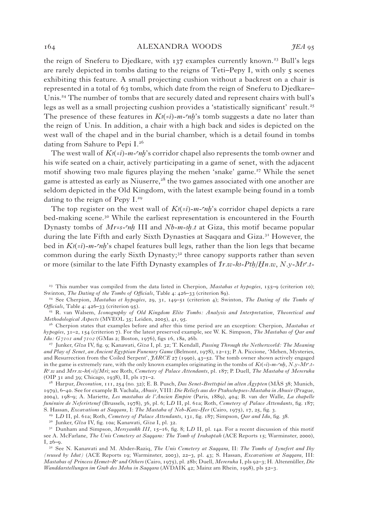#### 164 alexandra woods *JEA* 95

the reign of Sneferu to Djedkare, with 137 examples currently known.<sup>23</sup> Bull's legs are rarely depicted in tombs dating to the reigns of Teti–Pepy I, with only 5 scenes exhibiting this feature. A small projecting cushion without a backrest on a chair is represented in a total of 63 tombs, which date from the reign of Sneferu to Djedkare– Unis.24 The number of tombs that are securely dated and represent chairs with bull's legs as well as a small projecting cushion provides a 'statistically significant' result.<sup>25</sup> The presence of these features in  $K_3(-i)$ -m- $n h$ 's tomb suggests a date no later than the reign of Unis. In addition, a chair with a high back and sides is depicted on the west wall of the chapel and in the burial chamber, which is a detail found in tombs dating from Sahure to Pepi I.26

The west wall of  $K_3(\epsilon i)$ -m- $\epsilon nh$ 's corridor chapel also represents the tomb owner and his wife seated on a chair, actively participating in a game of senet, with the adjacent motif showing two male figures playing the mehen 'snake' game.<sup>27</sup> While the senet game is attested as early as Niuserre,<sup>28</sup> the two games associated with one another are seldom depicted in the Old Kingdom, with the latest example being found in a tomb dating to the reign of Pepy I.29

The top register on the west wall of  $K_{\ell}(=i)$ *-m-chi*'s corridor chapel depicts a rare bed-making scene.<sup>30</sup> While the earliest representation is encountered in the Fourth Dynasty tombs of *Mr=s-cnh* III and *Nb-m-3h<sub>t</sub>t* at Giza, this motif became popular during the late Fifth and early Sixth Dynasties at Saqqara and Giza.31 However, the bed in  $K_3(\neq i)$ -m- $n^2$  chapel features bull legs, rather than the lion legs that became common during the early Sixth Dynasty;<sup>32</sup> three canopy supports rather than seven or more (similar to the late Fifth Dynasty examples of *Ir.w-ki-Pth/Hn.w., N.y-Ms<sup>--</sup>,t-*

23 This number was compiled from the data listed in Cherpion, *Mastabas et hypogées*, 155–9 (criterion 10); Swinton, *The Dating of the Tombs of Officials*, Table 4: 426–33 (criterion 89).

<sup>24</sup> See Cherpion, *Mastabas et hypogées*, 29, 31, 149–51 (criterion 4); Swinton, *The Dating of the Tombs of Officials*, Table 4: 426–33 (criterion 95).

<sup>25</sup> R. van Walsem, *Iconography of Old Kingdom Elite Tombs: Analysis and Interpretation, Theoretical and Methodological Aspects* (MVEOL 35; Leiden, 2005), 41, 95.

26 Cherpion states that examples before and after this time period are an exception: Cherpion, *Mastabas et hypogées*, 31–2, 154 (criterion 7). For the latest preserved example, see W. K. Simpson, *The Mastabas of Qar and Idu: G7101 and 7102* (GMas 2; Boston, 1976), figs 16, 18a, 26b.

<sup>27</sup> Junker, *Gîza* IV, fig. 9; Kanawati, *Giza* I, pl. 32; T. Kendall, *Passing Through the Netherworld: The Meaning and Play of Senet, an Ancient Egyptian Funerary Game* (Belmont, 1978), 12–13; P. A. Piccione, 'Mehen, Mysteries, and Resurrection from the Coiled Serpent', *JARCE* 27 (1990), 43–52. The tomb owner shown actively engaged in the game is extremely rare, with the only known examples originating in the tombs of  $K_3(\epsilon i)$ -m- $n, N, y$ - $M_3$ <sup>r</sup>.t-*Ra.w* and *Mrr.w-kA*(*=i*)/*Mri*; see Roth, *Cemetery of Palace Attendants*, pl. 187; P. Duell, *The Mastaba of Mereruka* (OIP 31 and 39; Chicago, 1938), II, pls 171–2.

28 Harpur, *Decoration*, 111, 254 (no. 32); E. B. Pusch, *Das Senet-Brettspiel im alten Ägypten* (MÄS 38; Munich, 1979), 6–40. See for example B. Vachala, *Abusir*, VIII: *Die Reliefs aus der Ptahschepses-Mastaba in Abusir* (Prague, 2004), 198–9; A. Mariette, *Les mastabas de l'Ancien Empire* (Paris, 1889), 404; B. van der Walle, *La chapelle funéraire de Neferirtenef* (Brussels, 1978), 36, pl. 6; L*D* II, pl. 61a; Roth, *Cemetery of Palace Attendants*, fig. 187; S. Hassan, *Excavations at Saqqara*, I: *The Mastaba of Neb-Kaw-@er* (Cairo, 1975), 17, 25, fig. 3.

29 L*D* II, pl. 61a; Roth, *Cemetery of Palace Attendants*, 131, fig. 187; Simpson, *Qar and Idu*, fig. 38.

<sup>30</sup> Junker, *Gîza* IV, fig. 10a; Kanawati, *Giza* I, pl. 32.

<sup>31</sup> Dunham and Simpson, *Mersyankh III*, 15–16, fig. 8; LD II, pl. 14a. For a recent discussion of this motif see A. McFarlane, *The Unis Cemetery at Saqqara: The Tomb of Irukaptah* (ACE Reports 15; Warminster, 2000), I, 26–9.

<sup>32</sup> See N. Kanawati and M. Abder-Raziq, *The Unis Cemetery at Saqqara*, II: *The Tombs of Iynefert and Ihy (reused by Idut)* (ACE Reports 19; Warminster, 2003), 22–3, pl. 43; S. Hassan, *Excavations at Saqqara*, III: *Mastabas of Princess @emet–Ra* a*nd Others* (Cairo, 1975), pl. 28b; Duell, *Mereruka* I, pls 92–3; H. Altenmüller, *Die Wanddarstellungen im Grab des Mehu in Saqqara* (AVDAIK 42; Mainz am Rhein, 1998), pls 52–3.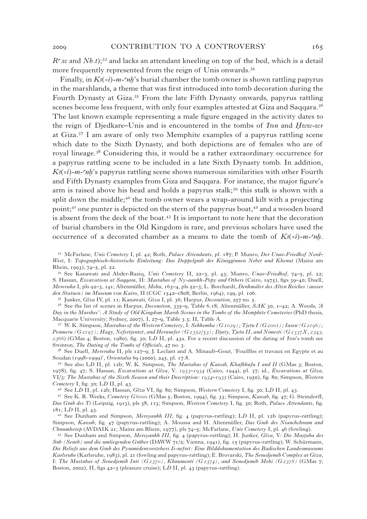$R<sup>c</sup>$ .w and *Nb.t*);<sup>33</sup> and lacks an attendant kneeling on top of the bed, which is a detail more frequently represented from the reign of Unis onwards.<sup>34</sup>

Finally, in  $K_3(\epsilon i)$ -m- $n^2$  s burial chamber the tomb owner is shown rattling papyrus in the marshlands, a theme that was first introduced into tomb decoration during the Fourth Dynasty at Giza.<sup>35</sup> From the late Fifth Dynasty onwards, papyrus rattling scenes become less frequent, with only four examples attested at Giza and Saqqara.<sup>36</sup> The last known example representing a male figure engaged in the activity dates to the reign of Djedkare–Unis and is encountered in the tombs of *IAsn* and *#ww-wr*  at Giza.37 I am aware of only two Memphite examples of a papyrus rattling scene which date to the Sixth Dynasty, and both depictions are of females who are of royal lineage.38 Considering this, it would be a rather extraordinary occurrence for a papyrus rattling scene to be included in a late Sixth Dynasty tomb. In addition,  $K_3(z_i)$ -m- $n_i$ 's papyrus rattling scene shows numerous similarities with other Fourth and Fifth Dynasty examples from Giza and Saqqara. For instance, the major figure's arm is raised above his head and holds a papyrus stalk;<sup>39</sup> this stalk is shown with a split down the middle;<sup>40</sup> the tomb owner wears a wrap-around kilt with a projecting point;<sup>41</sup> one punter is depicted on the stern of the papyrus boat,<sup>42</sup> and a wooden board is absent from the deck of the boat.<sup>43</sup> It is important to note here that the decoration of burial chambers in the Old Kingdom is rare, and previous scholars have used the occurrence of a decorated chamber as a means to date the tomb of  $K_3(z_i)$ -m- $n_i$ .

<sup>34</sup> See Kanawati and Abder-Raziq, *Unis Cemetery* II, 22–3, pl. 43; Munro, *Unas–Friedhof*, 74–5, pl. 22; S. Hassan, *Excavations at Saqqara*, II: *Mastabas of Ny-aankh-Pepy and Others* (Cairo, 1975), figs 39–40; Duell, *Mereruka* I, pls 92–3, 141; Altenmüller, *Mehu*, 163–4, pls 52–3; L. Borchardt, *Denkmäler des Alten Reiches (ausser den Statuen) im Museum von Kairo*, II (CGC 1542–1808; Berlin, 1964), 199, pl. 106.

<sup>35</sup> Junker, *Gîza* IV, pl. 11; Kanawati, *Giza* I, pl. 36; Harpur, *Decoration*, 257 no. 5.

<sup>36</sup> See the list of scenes in Harpur, *Decoration*, 335–9, Table 6.18; Altenmüller, *SAK* 30, 1–42; A. Woods, *'A Day in the Marshes': A Study of Old Kingdom Marsh Scenes in the Tombs of the Memphite Cemeteries* (PhD thesis, Macquarie University; Sydney, 2007), I, 27–9, Table 3.3; II, Table A.

<sup>37</sup> W. K. Simpson, *Mastabas of the Western Cemetery*, I: *Sekhemka (G1029); Tjetu I (G2001); Iasen (G2196); Penmeru (G2197); Hagy, Nefertjentet, and Herunefer (G2352/53); Djaty, Tjetu II, and Nimesti (G2337X, 2343, 2366*) (GMas 4; Boston, 1980), fig. 30; L*D* II, pl. 43a. For a recent discussion of the dating of *IAsn*'s tomb see Swinton, *The Dating of the Tombs of Officials*, 47 no. 3.

<sup>38</sup> See Duell, *Mereruka* II, pls 127–9; J. Leclant and A. Minault–Gout, 'Fouillles et travaux en Egypte et au Soudan (1998–1999)', *Orientalia* 69 (2000), 245, pl. 17.8.

<sup>39</sup> See also L*D* II, pl. 12b; W. K. Simpson, *The Mastabas of Kawab, Khafkhufu I and II* (GMas 3; Boston, 1978), fig. 47; S. Hassan, *Excavations at Gîza*, V: *1933–1934* (Cairo, 1944), pl. 37; id., *Excavations at Gîza*, VI/3: *The Mastabas of the Sixth Season and their Description: 1934–1935* (Cairo, 1950), fig. 80; Simpson, *Western Cemetery* I, fig. 30; L*D* II, pl. 43.

<sup>40</sup> See L*D* II, pl. 12b; Hassan, *Gîza* VI, fig. 80; Simpson, *Western Cemetery* I, fig. 30; L*D* II, pl. 43.

<sup>41</sup> See K. R. Weeks, *Cemetery G6000* (GMas 5; Boston, 1994), fig. 33; Simpson, *Kawab*, fig. 47; G. Steindorff, *Das Grab des Ti* (Leipzig, 1913), pls 58, 113; Simpson, *Western Cemetery* I, fig. 30; Roth, *Palace Attendants*, fig. 181; L*D* II, pl. 43.

<sup>42</sup> See Dunham and Simpson, *Mersyankh III*, fig. 4 (papyrus-rattling); LD II, pl. 12b (papyrus-rattling); Simpson, *Kawab*, fig. 47 (papyrus-rattling); A. Moussa and H. Altenmüller, *Das Grab des Nianchchnum and Chnumhotep* (AVDAIK 21; Mainz am Rhein, 1977), pls 74–5; McFarlane, *Unis Cemetery* I, pl. 46 (fowling).

<sup>43</sup> See Dunham and Simpson, *Mersyankh III*, fig. 4 (papyrus-rattling); H. Junker, *Gîza*, V: *Die Ma√fiaba des Snb (Seneb) und die umliegenden Gräber* (DAWW 71/2; Vienna, 1941), fig. 15 (papyrus-rattling); W. Schürmann, *Die Reliefs aus dem Grab des Pyramidenvorstehers Ii-nefret: Eine Bilddokumentation des Badischen Landesmuseums Karlsruhe* (Karlsruhe, 1983), pl. 21 (fowling and papyrus-rattling); E. Brovarski, *The Senedjemib Complex at Giza,*  I: *The Mastabas of Senedjemib Inti (G2370), Khnumenti (G2374), and Senedjemib Mehi (G2378)* (GMas 7; Boston, 2002), II, figs 42–3 (pleasure cruise); L*D* II, pl. 43 (papyrus-rattling).

<sup>33</sup> McFarlane, *Unis Cemetery* I, pl. 42; Roth, *Palace Attendants*, pl. 187; P. Munro, *Der Unas-Friedhof Nord– West*, I: *Topographisch–historische Einleitung: Das Doppelgrab der Königginnen Nebet und Khenut* (Mainz am Rhein, 1993), 74–5, pl. 22.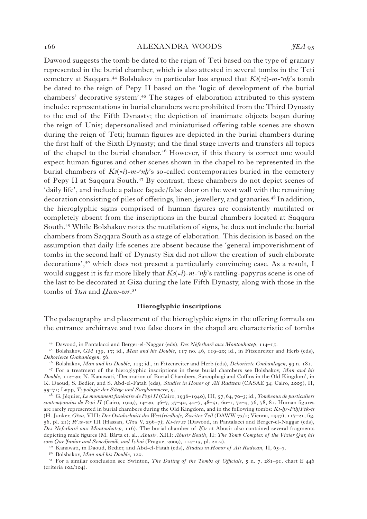Dawood suggests the tomb be dated to the reign of Teti based on the type of granary represented in the burial chamber, which is also attested in several tombs in the Teti cemetery at Saqqara.<sup>44</sup> Bolshakov in particular has argued that  $K_3(z_i)$ -m- $n_i$ 's tomb be dated to the reign of Pepy II based on the 'logic of development of the burial chambers' decorative system'.45 The stages of elaboration attributed to this system include: representations in burial chambers were prohibited from the Third Dynasty to the end of the Fifth Dynasty; the depiction of inanimate objects began during the reign of Unis; depersonalised and miniaturised offering table scenes are shown during the reign of Teti; human figures are depicted in the burial chambers during the first half of the Sixth Dynasty; and the final stage inverts and transfers all topics of the chapel to the burial chamber.46 However, if this theory is correct one would expect human figures and other scenes shown in the chapel to be represented in the burial chambers of  $K(s(-i))$ -m- $n\hbar$ 's so-called contemporaries buried in the cemetery of Pepy II at Saqqara South.47 By contrast, these chambers do not depict scenes of 'daily life', and include a palace façade/false door on the west wall with the remaining decoration consisting of piles of offerings, linen, jewellery, and granaries.<sup>48</sup> In addition, the hieroglyphic signs comprised of human figures are consistently mutilated or completely absent from the inscriptions in the burial chambers located at Saqqara South.49 While Bolshakov notes the mutilation of signs, he does not include the burial chambers from Saqqara South as a stage of elaboration. This decision is based on the assumption that daily life scenes are absent because the 'general impoverishment of tombs in the second half of Dynasty Six did not allow the creation of such elaborate decorations',<sup>50</sup> which does not present a particularly convincing case. As a result, I would suggest it is far more likely that  $K_3(z_i)$ -*m*- $\epsilon_n h$ 's rattling-papyrus scene is one of the last to be decorated at Giza during the late Fifth Dynasty, along with those in the tombs of *Issn* and *Hww-wr.*<sup>51</sup>

#### **Hieroglyphic inscriptions**

The palaeography and placement of the hieroglyphic signs in the offering formula on the entrance architrave and two false doors in the chapel are characteristic of tombs

<sup>49</sup> Kanawati, in Daoud, Bedier, and Abd-el-Fatah (eds), *Studies in Honor of Ali Radwan*, II, 65–7.

50 Bolshakov, *Man and his Double*, 120.

<sup>44</sup> Dawood, in Pantalacci and Berger-el-Naggar (eds), *Des Néferkarê aux Montouhotep*, 114–15.

<sup>45</sup> Bolshakov, *GM* 139, 17; id., *Man and his Double*, 117 no. 46, 119–20; id., in Fitzenreiter and Herb (eds), *Dekorierte Grabanlagen*, 56.

<sup>46</sup> Bolshakov, *Man and his Double*, 119; id., in Fitzenreiter and Herb (eds), *Dekorierte Grabanlagen*, 59 n. 181. 47 For a treatment of the hieroglyphic inscriptions in these burial chambers see Bolshakov, *Man and his Double*, 112–20; N. Kanawati, 'Decoration of Burial Chambers, Sarcophagi and Coffins in the Old Kingdom', in K. Daoud, S. Bedier, and S. Abd-el-Fatah (eds), *Studies in Honor of Ali Radwan* (CASAE 34; Cairo, 2005), II, 55–71; Lapp, *Typologie der Särge und Sargkammern*, 9.

<sup>48</sup> G. Jéquier, *Le monument funéraire de Pepi II* (Cairo, 1936–1940), III, 57, 64, 70–3; id., *Tombeaux de particuliers contemporains de Pepi II* (Cairo, 1929), 14–20, 36–7, 37–40, 42–7, 48–51, 60–1, 72–4, 76, 78, 81. Human figures are rarely represented in burial chambers during the Old Kingdom, and in the following tombs: *K<sub>3</sub>-hr-Pth*/*Ftk-t3* (H. Junker, *Gîza*, VIII: *Der Ostabschnitt des Westfriedhofs*, *Zweiter Teil* (DAWW 73/1; Vienna, 1947), 117–21, fig. 56, pl. 21); *Ra.w-wr* III (Hassan, *Gîza* V, 296–7); *KA-irr.w* (Dawood, in Pantalacci and Berger-el-Naggar (eds), *Des Néferkarê aux Montouhotep*, 116). The burial chamber of *Kr* at Abusir also contained several fragments depicting male figures (M. Bárta et. al., *Abusir*, XIII: *Abusir South,* II: *The Tomb Complex of the Vizier Qar, his sons Qar Junior and Senedjemib, and Iykai* (Prague, 2009), 114–15, pl. 20.2).

<sup>51</sup> For a similar conclusion see Swinton, *The Dating of the Tombs of Officials*, 5 n. 7, 281–91, chart E 446 (criteria 102/104).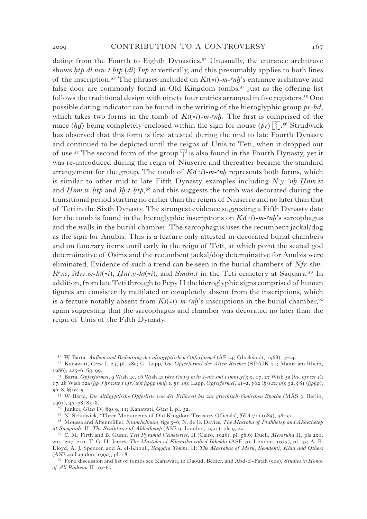dating from the Fourth to Eighth Dynasties.<sup>52</sup> Unusually, the entrance architrave shows *htp di nsw.t htp* (*di*) *Inp.w* vertically, and this presumably applies to both lines of the inscription.<sup>53</sup> The phrases included on  $K_3(z_i)$ -m- $n_i$ 's entrance architrave and false door are commonly found in Old Kingdom tombs,<sup>54</sup> just as the offering list follows the traditional design with ninety four entries arranged in five registers.<sup>55</sup> One possible dating indicator can be found in the writing of the hieroglyphic group *pr-HD*, which takes two forms in the tomb of  $K_2(z_i)$ -m- $\eta$ . The first is comprised of the mace  $(hd)$  being completely enclosed within the sign for house  $(pr)$   $\lceil \cdot \rceil$ .<sup>56</sup> Strudwick has observed that this form is first attested during the mid to late Fourth Dynasty and continued to be depicted until the reigns of Unis to Teti, when it dropped out and continued to be depicted until the reigns of Unis to Teti, when it dropped out<br>of use.<sup>57</sup> The second form of the group  $\boxed{\ }$  is also found in the Fourth Dynasty, yet it was re-introduced during the reign of Niuserre and thereafter became the standard arrangement for the group. The tomb of  $K_3(z_i)$ -m- $\epsilon_n h$  represents both forms, which is similar to other mid to late Fifth Dynasty examples including  $N_y$ - $n_h$ - $Hnm.w$ and  $Hnm.w-htp$  and  $3h.t-htp$ ,<sup>58</sup> and this suggests the tomb was decorated during the transitional period starting no earlier than the reigns of Niuserre and no later than that of Teti in the Sixth Dynasty. The strongest evidence suggesting a Fifth Dynasty date for the tomb is found in the hieroglyphic inscriptions on  $K_3(z_i)$ -m- $n_i$ 's sarcophagus and the walls in the burial chamber. The sarcophagus uses the recumbent jackal/dog as the sign for Anubis. This is a feature only attested in decorated burial chambers and on funerary items until early in the reign of Teti, at which point the seated god determinative of Osiris and the recumbent jackal/dog determinative for Anubis were eliminated. Evidence of such a trend can be seen in the burial chambers of *Nfr-sšm*-*R<sup>c</sup>.w*, *Mrr.w-k* $(s_i^2)$ , *Hnt.y-k* $(s_i^2)$ , and *Smdn.t* in the Teti cemetery at Saqqara.<sup>59</sup> In addition, from late Teti through to Pepy II the hieroglyphic signs comprised of human figures are consistently mutilated or completely absent from the inscriptions, which is a feature notably absent from  $K_3(z_i)$ -m- $n_i$ 's inscriptions in the burial chamber,<sup>60</sup> again suggesting that the sarcophagus and chamber was decorated no later than the reign of Unis of the Fifth Dynasty.

<sup>56</sup> Junker, *Gîza* IV, figs 9, 11; Kanawati, *Giza* I, pl. 32.

<sup>57</sup> N. Strudwick, 'Three Monuments of Old Kingdom Treasury Officials', *JEA* 71 (1985), 48–51.

<sup>52</sup> W. Barta, *Aufbau und Bedeutung der altägyptischen Opferformel* (ÄF 24; Glückstadt, 1968), 3–24.

<sup>53</sup> Kanawati, *Giza* I, 24, pl. 28c; G. Lapp, *Die Opferformel des Alten Reiches* (SDAIK 21; Mainz am Rhein, 1986), 225–6, fig. 99.

<sup>54</sup> Barta, *Opferformel*, 9 Wish 4c, 16 Wish 4a ( $krs.t(w)=f m h r.t-ntr smi.t \text{imnt.}yt$ ); 9, 17, 27 Wish 5a (*isw nfr wr.t*);  $17, 28$  Wish  $12a$  (*hp=f hr wsw.t nfr.*(*w*)*t hphp imsh.w hr=sn*); Lapp, *Opferformel*,  $41-2$ , §62 (*krs.tw m*);  $52$ , §81 (*hphp*);  $56-8,$  §§92–5.

<sup>55</sup> W. Barta, *Die altägyptische Opferliste von der Frühzeit bis zur griechisch-römischen Epoche* (MÄS 3; Berlin,  $1963$ ,  $47-78$ ,  $83-8$ .

<sup>58</sup> Moussa and Altenmüller, *Nianchchnum*, figs 5–6; N. de G. Davies, *The Mastaba of Ptahhetep and Akhethetep at Saqqarah*, II: *The Sculptures of Akhethetep* (ASE 9; London, 1901), pls 9, 20.

<sup>59</sup> C. M. Firth and B. Gunn, *Teti Pyramid Cemeteries*, II (Cairo, 1926), pl. 58.6; Duell, *Mereruka* II, pls 201, 204, 207, 210; T. G. H. James, *The Mastaba of Khentika called Ikhekhi* (ASE 30; London, 1953), pl. 35; A. B. Lloyd, A. J. Spencer, and A. el-Khouli, *Saqqâra Tombs*, II: *The Mastabas of Meru, Semdenti, Khui and Others* (ASE 40 London, 1990), pl. 18.

<sup>60</sup> For a discussion and list of tombs see Kanawati, in Daoud, Bedier, and Abd-el-Fatah (eds), *Studies in Honor of Ali Radwan* II, 59–67.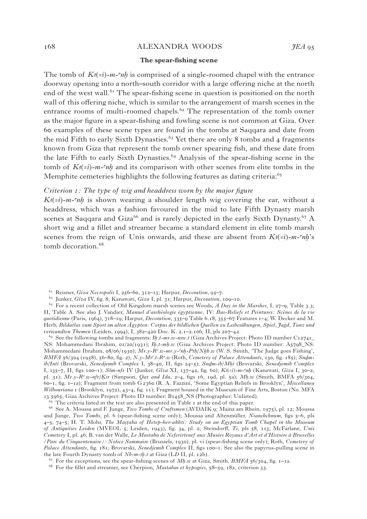#### 168 alexandra woods *JEA* 95

#### **The spear-fishing scene**

The tomb of  $K_3(z_i)$ -m- $n_i$  is comprised of a single-roomed chapel with the entrance doorway opening into a north–south corridor with a large offering niche at the north end of the west wall.<sup> $61$ </sup> The spear-fishing scene in question is positioned on the north wall of this offering niche, which is similar to the arrangement of marsh scenes in the entrance rooms of multi-roomed chapels.<sup> $62$ </sup> The representation of the tomb owner as the major figure in a spear-fishing and fowling scene is not common at Giza. Over 60 examples of these scene types are found in the tombs at Saqqara and date from the mid Fifth to early Sixth Dynasties.<sup> $63$ </sup> Yet there are only 8 tombs and 4 fragments known from Giza that represent the tomb owner spearing fish, and these date from the late Fifth to early Sixth Dynasties.<sup>64</sup> Analysis of the spear-fishing scene in the tomb of  $K_3(z_i)$ -m- $\infty$  and its comparison with other scenes from elite tombs in the Memphite cemeteries highlights the following features as dating criteria:<sup>65</sup>

#### *Criterion 1: The type of wig and headdress worn by the major figure*

 $K_3(\neq i)$ -*m*- $\infty$ *h* is shown wearing a shoulder length wig covering the ear, without a headdress, which was a fashion favoured in the mid to late Fifth Dynasty marsh scenes at Saqqara and Giza<sup>66</sup> and is rarely depicted in the early Sixth Dynasty.<sup>67</sup> A short wig and a fillet and streamer became a standard element in elite tomb marsh scenes from the reign of Unis onwards, and these are absent from  $K_3(-i)$ -m- $n\hbar$ 's tomb decoration.<sup>68</sup>

<sup>64</sup> See the following tombs and fragments:  $3h.t-mr.w-nsw.t$  (Giza Archives Project: Photo ID number C12741 NS: Mohammedani Ibrahim, 01/20/1931); *3h.t-mh.w* (Giza Archives Project: Photo ID number: A5798\_NS: Mohammedani Ibrahim,  $\frac{08}{6}$ ( $\frac{1030}{7}$ ); *Mr.y-R<sup>c</sup>.w-mr.y-cnh-Pth*/*Nhb.w* (W. S. Smith, 'The Judge goes Fishing', *BMFA* 56/304 (1958), 56-80, fig. 2); *N.y-Ms<sup>c</sup>.t-R<sup>c</sup>.w* (Roth, *Cemetery of Palace Attendants*, 130, fig. 185); *Sndmib*/*Inti* (Brovarski, *Senedjemib Complex I, 38*–40, II, figs 24–5); *Sndm-ib*/*Mhi* (Brovarski, *Senedjemib Complex* I, 135–7, II, figs 100–1); *%Sm-nfr* IV (Junker, *Gîza* XI, 137–42, fig. 60); *KA*(*=i*)-*m-anx* (Kanawati, *Giza* I, 30–2, pl. 31); *Mr.y-Ra.w-nfr*/*QAr* (Simpson, *Qar and Idu*, 2–4, figs 16, 19d, pl. 5a); *MH.w* (Smith, BMFA 56/304, 60–1, fig. 1–1a); Fragment from tomb G2360 (R. A. Fazzini, 'Some Egyptian Reliefs in Brooklyn', *Miscellanea Wilbouriana* 1 (Brooklyn, 1972), 43–4, fig. 11); Fragment housed in the Museum of Fine Arts, Boston (No. MFA 13.5965; Giza Archives Project: Photo ID number: B1458\_NS (Photographer: Unlisted).

 $65$  The criteria listed in the text are also presented in Table 1 at the end of this paper.

<sup>66</sup> See A. Moussa and F. Junge, *Two Tombs of Craftsmen* (AVDAIK 9; Mainz am Rhein, 1975), pl. 12; Moussa and Junge, *Two Tombs*, pl. 6 (spear-fishing scene only); Moussa and Altenmüller, *Nianchchnum*, figs 5–6, pls 4–5, 74–5; H. T. Mohr, *The Ma√fiaba of Hetep-her-akhti: Study on an Egyptian Tomb Chapel in the Museum of Antiquities Leiden* (MVEOL 5; Leiden, 1943), fig. 34, pl. 2; Steindorff, *Ti*, pls 58, 113; McFarlane, *Unis Cemetery* I, pl. 46; B. van der Walle, *Le Mastaba de Neferirtenef aux Musées Royaux d'Art et d'Histoire à Bruxelles (Parc du Cinquentenaire): Notice Sommaire* (Brussels, 1930), pl. vi (spear-fishing scene only); Roth, *Cemetery of Palace Attendants*, fig. 181; Brovarski, *Senedjemib Complex* II, figs 100–1. See also the papyrus-pulling scene in the late Fourth Dynasty tomb of *Nb-m-3h<sub>t</sub>* at Giza (LD II, pl. 12b).

<sup>61</sup> Reisner, *Giza Necropolis* I, 256–60, 312–13; Harpur, *Decoration*, 95–7.

<sup>62</sup> Junker, *Gîza* IV, fig. 8; Kanawati, *Giza* I, pl. 31; Harpur, *Decoration*, 109–10.

<sup>63</sup> For a recent collection of Old Kingdom marsh scenes see Woods, *A Day in the Marshes*, I, 27–9, Table 3.3; II, Table A. See also J. Vandier, *Manuel d'archéologie égyptienne*, IV: *Bas-Reliefs et Peintures: Scènes de la vie quotidienne* (Paris, 1964), 718–19; Harpur, *Decoration*, 335–9 Table 6.18, 355–67 Features 1–4; W. Decker and M. Herb, *Bildatlas zum Sport im alten Ägypten: Corpus der bildlichen Quellen zu Leibesübungen, Spiel, Jagd, Tanz und verwandten Themen* (Leiden, 1994), I, 382–420 Doc. K. 2.1–2.106; II, pls 207–42.

<sup>67</sup> For the exceptions, see the spear-fishing scenes of *MH.w* at Giza, Smith, *BMFA* 56/304, fig. 1–1a.

<sup>68</sup> For the fillet and streamer, see Cherpion, *Mastabas et hypogées*, 58–59, 182, criterion 33.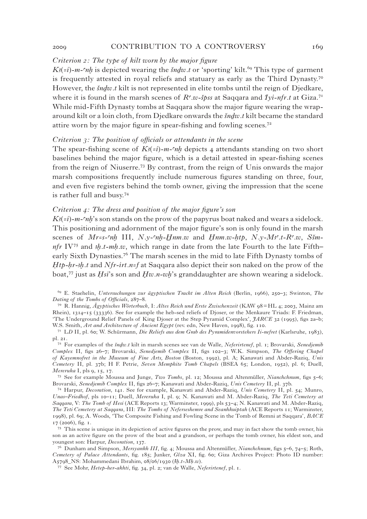#### 2009 **cONTRIBUTION TO A CONTROVERSY** 169

#### *Criterion 2: The type of kilt worn by the major figure*

 $K_3(z_i)$ -m- $n_i$  is depicted wearing the *Sndw.t* or 'sporting' kilt.<sup>69</sup> This type of garment is frequently attested in royal reliefs and statuary as early as the Third Dynasty.<sup>70</sup> However, the *šndw.t* kilt is not represented in elite tombs until the reign of Djedkare, where it is found in the marsh scenes of  $R^c w - \xi p$ ss at Saqqara and *Iyi-nfr.t* at Giza.<sup>71</sup> While mid-Fifth Dynasty tombs at Saqqara show the major figure wearing the wraparound kilt or a loin cloth, from Djedkare onwards the *šndw.t* kilt became the standard attire worn by the major figure in spear-fishing and fowling scenes.<sup>72</sup>

#### *Criterion 3: The position of officials or attendants in the scene*

The spear-fishing scene of  $K_3(-i)$ -m- $n \cdot nh$  depicts 4 attendants standing on two short baselines behind the major figure, which is a detail attested in spear-fishing scenes from the reign of Niuserre.73 By contrast, from the reign of Unis onwards the major marsh compositions frequently include numerous figures standing on three, four, and even five registers behind the tomb owner, giving the impression that the scene is rather full and busy.74

#### *Criterion 4: The dress and position of the major figure's son*

 $K_3(z_i)$ -m- $n_i$ 's son stands on the prow of the papyrus boat naked and wears a sidelock. This positioning and adornment of the major figure's son is only found in the marsh scenes of  $Mr=s-*nh*$  III,  $N.y-*nh*-*Hnm.w*$  and  $Hnm.w-*htp*, N.y-Ms<sup>c</sup>.*t*-*R*<sup>c</sup>.*w*, Ssm-*t*$ *nfr* IV<sup>75</sup> and *h*.t-mh.w, which range in date from the late Fourth to the late Fifth– early Sixth Dynasties.<sup>76</sup> The marsh scenes in the mid to late Fifth Dynasty tombs of *Htp-hr-ih.t* and *Nfr-irt.n=f* at Saqqara also depict their son naked on the prow of the boat,<sup>77</sup> just as *Hsi*'s son and *Hw.n-wh*'s granddaughter are shown wearing a sidelock.

69 E. Staehelin, *Untersuchungen zur ägyptischen Tracht im Alten Reich* (Berlin, 1966), 250–3; Swinton, *The Dating of the Tombs of Officials*, 287–8.

70 R. Hannig, *Ägyptisches Wörterbuch*, I: *Altes Reich und Erste Zwischenzeit* (KAW 98= HL 4; 2003, Mainz am Rhein), 1314–15 (33336). See for example the heb-sed reliefs of Djoser, or the Menkaure Triads: F. Friedman, 'The Underground Relief Panels of King Djoser at the Step Pyramid Complex', *JARCE* 32 (1995), figs 2a–b; W.S. Smith, *Art and Architecture of Ancient Egypt* (rev. edn, New Haven, 1998), fig. 110.

<sup>71</sup> L*D* II, pl. 60; W. Schürmann, *Die Reliefs aus dem Grab des Pyramidenvorstehers Ii-nefret* (Karlsruhe, 1983), pl. 21.

<sup>72</sup> For examples of the *SnDw.t* kilt in marsh scenes see van de Walle, *Neferirtenef*, pl. 1; Brovarski, *Senedjemib Complex* II, figs 26–7; Brovarski, *Senedjemib Complex* II, figs 102–3; W.K. Simpson, *The Offering Chapel of Kayemnofret in the Museum of Fine Arts, Boston* (Boston, 1992), pl. A; Kanawati and Abder-Raziq, *Unis Cemetery* II, pl. 37b; H F. Petrie, *Seven Memphite Tomb Chapels* (BSEA 65; London, 1952), pl. 6; Duell, *Mereruka* I, pls 9, 15, 17.

<sup>73</sup> See for example Moussa and Junge, *Two Tombs*, pl. 12; Moussa and Altenmüller, *Nianchchnum*, figs 5–6; Brovarski, *Senedjemib Complex* II, figs 26–7; Kanawati and Abder-Raziq, *Unis Cemetery* II, pl. 37b.

<sup>74</sup> Harpur, *Decoration*, 141. See for example, Kanawati and Abder-Raziq, *Unis Cemetery* II, pl. 54; Munro, *Unas–Friedhof*, pls 10–11; Duell, *Mereruka* I, pl. 9; N. Kanawati and M. Abder-Raziq, *The Teti Cemetery at Saqqara*, V: *The Tomb of Hesi* (ACE Reports 13; Warminster, 1999), pls 53–4; N. Kanawati and M. Abder-Raziq, *The Teti Cemetery at Saqqara*, III: *The Tombs of Neferseshemre and Seanhkuiptah* (ACE Reports 11; Warminster, 1998), pl. 69; A. Woods, 'The Composite Fishing and Fowling Scene in the Tomb of Remni at Saqqara', *BACE* 17 (2006), fig. 1.

<sup>75</sup> This scene is unique in its depiction of active figures on the prow, and may in fact show the tomb owner, his son as an active figure on the prow of the boat and a grandson, or perhaps the tomb owner, his eldest son, and youngest son: Harpur, *Decoration*, 137.

<sup>76</sup> Dunham and Simpson, *Mersyankh III*, fig. 4; Moussa and Altenmüller, *Nianchchnum*, figs 5–6, 74–5; Roth, *Cemetery of Palace Attendants*, fig. 185; Junker, *Gîza* XI, fig. 60; Giza Archives Project: Photo ID number: A5798\_NS: Mohammedani Ibrahim, 08/06/1930 (*Ax.t-MH.w*).

<sup>77</sup> See Mohr, *Hetep-her-akhti*, fig. 34, pl. 2; van de Walle, *Neferirtenef*, pl. 1.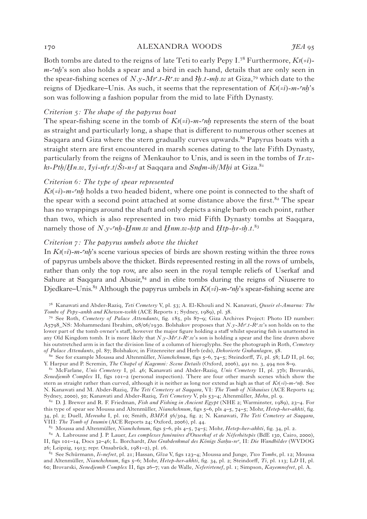#### 170 alexandra woods *JEA* 95

Both tombs are dated to the reigns of late Teti to early Pepy I.<sup>78</sup> Furthermore,  $K_3(z_i)$ *m*- $nh$ 's son also holds a spear and a bird in each hand, details that are only seen in the spear-fishing scenes of  $N_v M_i^s t - R_v w$  and  $\lambda h_t - mh_v w$  at Giza,<sup>79</sup> which date to the reigns of Djedkare–Unis. As such, it seems that the representation of  $K_3(z_i)$ -m- $n_i$ 's son was following a fashion popular from the mid to late Fifth Dynasty.

#### *Criterion 5: The shape of the papyrus boat*

The spear-fishing scene in the tomb of  $K_3(z_i)$ -*m*- $n$ *r* represents the stern of the boat as straight and particularly long, a shape that is different to numerous other scenes at Sagqara and Giza where the stern gradually curves upwards.<sup>80</sup> Papyrus boats with a straight stern are first encountered in marsh scenes dating to the late Fifth Dynasty, particularly from the reigns of Menkauhor to Unis, and is seen in the tombs of *Ir.w* $k-Ph/Hn.w, Iy\ell-nfr.t/\check{S}$ -n=f at Saqqara and *Sndm-ib*/*Mhi* at Giza.<sup>81</sup>

#### *Criterion 6: The type of spear represented*

 $K_3(z_i)$ -m- $n_i$  holds a two headed bident, where one point is connected to the shaft of the spear with a second point attached at some distance above the first.<sup>82</sup> The spear has no wrappings around the shaft and only depicts a single barb on each point, rather than two, which is also represented in two mid Fifth Dynasty tombs at Saqqara, namely those of *N.y-* $nh$ *-Hnm.w* and *Hnm.w-htp* and *Htp-hr-sh.t.*<sup>83</sup>

#### *Criterion 7: The papyrus umbels above the thicket*

In  $K_3(\epsilon i)$ -m- $n$ *k*'s scene various species of birds are shown resting within the three rows of papyrus umbels above the thicket. Birds represented resting in all the rows of umbels, rather than only the top row, are also seen in the royal temple reliefs of Userkaf and Sahure at Saqqara and Abusir, $84$  and in elite tombs during the reigns of Niuserre to Djedkare–Unis.<sup>85</sup> Although the papyrus umbels in  $K_3(z_i)$ -*m*- $nh$ 's spear-fishing scene are

<sup>80</sup> See for example Moussa and Altenmüller, *Nianchchnum*, figs 5–6, 74–5; Steindorff, *Ti*, pl. 58; L*D* II, pl. 60; Y. Harpur and P. Scremin, *The Chapel of Kagemni: Scene Details* (Oxford, 2006), 491 no. 3, 494 nos 8–9.

81 McFarlane, *Unis Cemetery* I, pl. 46; Kanawati and Abder-Raziq, *Unis Cemetery* II, pl. 37b; Brovarski, *Senedjemib Complex* II, figs 101–2 (personal inspection). There are four other marsh scenes which show the stern as straight rather than curved, although it is neither as long nor extend as high as that of  $K_3(e_i)$ -m- $n$ . See N. Kanawati and M. Abder-Raziq, *The Teti Cemetery at Saqqara*, VI: *The Tomb of Nikauises* (ACE Reports 14; Sydney, 2000), 50; Kanawati and Abder-Raziq, *Teti Cemetery* V, pls 53–4; Altenmüller, *Mehu*, pl. 9.

82 D. J. Brewer and R. F. Friedman, *Fish and Fishing in Ancient Egypt* (NHE 2; Warminster, 1989), 23–4. For this type of spear see Moussa and Altenmüller, *Nianchchnum*, figs 5–6, pls 4–5, 74–5; Mohr, *Hetep-her-akhti*, fig. 34, pl. 2; Duell, *Mereuka* I, pl. 10; Smith, *BMFA* 56/304, fig. 2; N. Kanawati, *The Teti Cemetery at Saqqara*, VIII: *The Tomb of Inumin* (ACE Reports 24; Oxford, 2006), pl. 44.

83 Moussa and Altenmüller, *Nianchchnum*, figs 5–6, pls 4–5, 74–5; Mohr, *Hetep-her-akhti*, fig. 34, pl. 2.

84 A. Labrousse and J. P. Lauer, *Les complexes funéraires d'Ouserkaf et de Néferhétepès* (BdE 130, Cairo, 2000), II, figs 101–14, Docs 32–46; L. Borchardt, *Das Grabdenkmal des Königs CaAHu-rea*, II: *Die Wandbilder* (WVDOG 26; Leipzig, 1913; repr. Onsabrück, 1981–2), pl. 16.

<sup>85</sup> See Schürmann, *Ii-nefret*, pl. 21; Hassan, *Gîza* V, figs 123–4; Moussa and Junge, *Two Tombs*, pl. 12; Moussa and Altenmüller, *Nianchchnum*, figs 5–6; Mohr, *Hetep-her-akhti*, fig. 34, pl. 2; Steindorff, *Ti*, pl. 113; L*D* II, pl. 60; Brovarski, *Senedjemib Complex* II, figs 26–7; van de Walle, *Neferirtenef*, pl. 1; Simpson, *Kayemnofret*, pl. A.

<sup>78</sup> Kanawati and Abder-Raziq, *Teti Cemetery* V, pl. 53; A. El-Khouli and N. Kanawati, *Quseir el-Amarna: The Tombs of Pepy-ankh and Khewen-wekh* (ACE Reports 1; Sydney, 1989), pl. 38.

<sup>79</sup> See Roth, *Cemetery of Palace Attendants*, fig. 185, pls 87–9; Giza Archives Project: Photo ID number: A5798\_NS: Mohammedani Ibrahim, 08/06/1930. Bolshakov proposes that *N.y-M3<sup>c</sup>.t-R<sup>c</sup>.w*'s son holds on to the lower part of the tomb owner's staff, however the major figure holding a staff whilst spearing fish is unattested in any Old Kingdom tomb. It is more likely that *N.y-Ms<sup>c</sup>.t-R<sup>c</sup>.w*'s son is holding a spear and the line drawn above his outstretched arm is in fact the division line of a column of hieroglyphs. See the photograph in Roth, *Cemetery of Palace Attendants*, pl. 87; Bolshakov, in Fitzenreiter and Herb (eds), *Dekorierte Grabanlagen*, 58.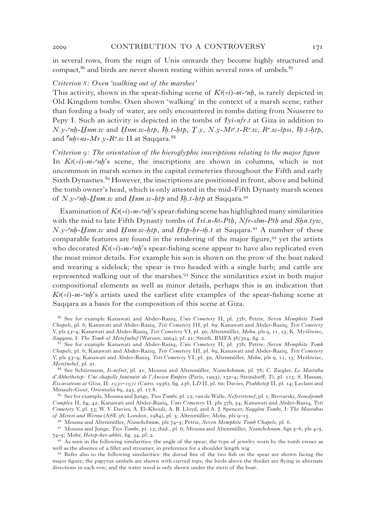2009 CONTRIBUTION TO A CONTROVERSY 171

in several rows, from the reign of Unis onwards they become highly structured and compact,<sup>86</sup> and birds are never shown resting within several rows of umbels.<sup>87</sup>

#### *Criterion 8: Oxen 'walking out of the marshes'*

This activity, shown in the spear-fishing scene of  $K_3(z_i)$ -m- $\eta$ , is rarely depicted in Old Kingdom tombs. Oxen shown 'walking' in the context of a marsh scene, rather than fording a body of water, are only encountered in tombs dating from Niuserre to Pepy I. Such an activity is depicted in the tombs of *Iyi-nfr.t* at Giza in addition to  $N.\mathit{y--}ch$ -*Hnm.w* and *Hnm.w-htp*,  $3h.t$ - $htp$ ,  $T.\mathit{y}$ ,  $N.\mathit{y-M}$ s $t$ - $R^c.\mathit{w}$ ,  $R^c.\mathit{w-s}$ pss,  $3h.t$ - $htp$ , and  $\zeta_{nh=ns-Mr.v-R} \zeta_{w}$  II at Saqqara.<sup>88</sup>

*Criterion 9: The orientation of the hieroglyphic inscriptions relating to the major figure* In  $K_3(-i)$ -m- $n h$ 's scene, the inscriptions are shown in columns, which is not uncommon in marsh scenes in the capital cemeteries throughout the Fifth and early Sixth Dynasties.<sup>89</sup> However, the inscriptions are positioned in front, above and behind the tomb owner's head, which is only attested in the mid-Fifth Dynasty marsh scenes of *N.y-cnh-Hnm.w* and *Hnm.w-htp* and *3h.t-htp* at Saqqara.<sup>90</sup>

Examination of  $K^{(i)}(i-m-m)$ 's spear-fishing scene has highlighted many similarities with the mid to late Fifth Dynasty tombs of *Iri.n-k<sub>3</sub>-Pth*, *Nfr-sšm-Pth* and *Shn.tyw*,  $N.\nu$ - $nh-Hnm.w$  and  $Hnm.w-htp$ , and  $Htp-hr-sh.t$  at Saqqara.<sup>91</sup> A number of these comparable features are found in the rendering of the major figure,  $92$  yet the artists who decorated  $K_3(\neq i)$ -m- $\infty$ 'nh's spear-fishing scene appear to have also replicated even the most minor details. For example his son is shown on the prow of the boat naked and wearing a sidelock; the spear is two headed with a single barb; and cattle are represented walking out of the marshes.93 Since the similarities exist in both major compositional elements as well as minor details, perhaps this is an indication that  $K_3(-i)$ -m- $n^2$  artists used the earliest elite examples of the spear-fishing scene at Saqqara as a basis for the composition of this scene at Giza.

<sup>86</sup> See for example Kanawati and Abder-Raziq, *Unis Cemetery* II, pl. 37b; Petrie, *Seven Memphite Tomb Chapels*, pl. 6; Kanawati and Abder-Raziq, *Teti Cemetery* III, pl. 69; Kanawati and Abder-Raziq, *Teti Cemetery* V, pls 53–4; Kanawati and Abder-Raziq, *Teti Cemetery* VI, pl. 50; Altenmüller, *Mehu*, pls 9, 11, 13; K. Myśliwiec, *Saqqara*, I: *The Tomb of Merefnebef* (Warsaw, 2004), pl. 21; Smith, BMFA 56/304, fig. 2.

<sup>89</sup> See for example, Moussa and Junge, *Two Tombs*, pl. 12; van de Walle, *Neferirtenef*, pl. 1; Brovarski, *Senedjemib Complex* II, fig. 42; Kanawati and Abder-Raziq, *Unis Cemetery* II, pls 37b, 54; Kanawati and Abder-Raziq, *Teti Cemetery* V, pl. 53; W. V. Davies, A. El-Khouli, A. B. Lloyd, and A. J. Spencer, *Saqqâra Tombs*, I: *The Mastabas of Mereri and Wernu* (ASE 36; London, 1984), pl. 5; Altenmüller, *Mehu*, pls 9–13.

90 Moussa and Altenmüller, *Nianchchnum*, pls 74–5; Petrie, *Seven Memphite Tomb Chapels*, pl. 6.

91 Moussa and Junge, *Two Tombs*, pl. 12; ibid., pl. 6; Moussa and Altenmüller, *Nianchchnum*, figs 5–6, pls 4–5, 74–5; Mohr, *Hetep-her-akhti*, fig. 34, pl. 2.

 $92$  As seen in the following similarities: the angle of the spear; the type of jewelry worn by the tomb owner as well as the absence of a fillet and streamer, in preference for a shoulder length wig

<sup>93</sup> Refer also to the following similarities: the dorsal fins of the two fish on the spear are shown facing the major figure; the papyrus umbels are shown with curved tops; the birds above the thicket are flying in alternate directions in each row; and the water weed is only shown under the stern of the boat.

<sup>87</sup> See for example Kanawati and Abder-Raziq, *Unis Cemetery* II, pl. 37b; Petrie, *Seven Memphite Tomb Chapels*, pl. 6; Kanawati and Abder-Raziq, *Teti Cemetery* III, pl. 69; Kanawati and Abder-Raziq, *Teti Cemetery* V, pls 53–4; Kanawati and Abder-Raziq, *Teti Cemetery* VI, pl. 50; Altenmüller, *Mehu*, pls 9, 11, 13; Myśliwiec, *Merefnebef*, pl. 21.

<sup>88</sup> See Schürmann, *Ii-nefret*, pl. 21; Moussa and Altenmüller, *Nianchchnum*, pl. 76; C. Ziegler, *Le Mastaba d'Akhethetep: Une chapelle funéraire de l'Ancien Empire* (Paris, 1993), 132–4; Steindorff, *Ti*, pl. 113; S. Hassan, *Excavations at Gîza*, II: *1930–1931* (Cairo, 1936), fig. 236; L*D* II, pl. 60; Davies, *Ptahhetep* II, pl. 14; Leclant and Minault–Gout, *Orientalia* 69, 245, pl. 17.8.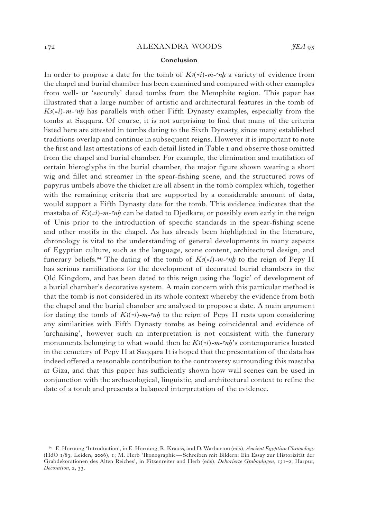#### 172 **alexandra Woods** *JEA* 95

#### **Conclusion**

In order to propose a date for the tomb of  $K_3(z_i)$ -m- $n, n$  a variety of evidence from the chapel and burial chamber has been examined and compared with other examples from well- or 'securely' dated tombs from the Memphite region. This paper has illustrated that a large number of artistic and architectural features in the tomb of  $K_3(z_i)$ -m-ch has parallels with other Fifth Dynasty examples, especially from the tombs at Saqqara. Of course, it is not surprising to find that many of the criteria listed here are attested in tombs dating to the Sixth Dynasty, since many established traditions overlap and continue in subsequent reigns. However it is important to note the first and last attestations of each detail listed in Table 1 and observe those omitted from the chapel and burial chamber. For example, the elimination and mutilation of certain hieroglyphs in the burial chamber, the major figure shown wearing a short wig and fillet and streamer in the spear-fishing scene, and the structured rows of papyrus umbels above the thicket are all absent in the tomb complex which, together with the remaining criteria that are supported by a considerable amount of data, would support a Fifth Dynasty date for the tomb. This evidence indicates that the mastaba of  $K_{\ell}(i-m-mk)$  can be dated to Djedkare, or possibly even early in the reign of Unis prior to the introduction of specific standards in the spear-fishing scene and other motifs in the chapel. As has already been highlighted in the literature, chronology is vital to the understanding of general developments in many aspects of Egyptian culture, such as the language, scene content, architectural design, and funerary beliefs.<sup>94</sup> The dating of the tomb of  $K_3(-i)$ -m- $n$ <sup>t</sup> to the reign of Pepy II has serious ramifications for the development of decorated burial chambers in the Old Kingdom, and has been dated to this reign using the 'logic' of development of a burial chamber's decorative system. A main concern with this particular method is that the tomb is not considered in its whole context whereby the evidence from both the chapel and the burial chamber are analysed to propose a date. A main argument for dating the tomb of  $K_{\ell}(i-m-mh)$  to the reign of Pepy II rests upon considering any similarities with Fifth Dynasty tombs as being coincidental and evidence of 'archaising', however such an interpretation is not consistent with the funerary monuments belonging to what would then be  $K_3(z_i)$ -m- $n_i$ 's contemporaries located in the cemetery of Pepy II at Saqqara It is hoped that the presentation of the data has indeed offered a reasonable contribution to the controversy surrounding this mastaba at Giza, and that this paper has sufficiently shown how wall scenes can be used in conjunction with the archaeological, linguistic, and architectural context to refine the date of a tomb and presents a balanced interpretation of the evidence.

<sup>94</sup> E. Hornung 'Introduction', in E. Hornung, R. Krauss, and D. Warburton (eds), *Ancient Egyptian Chronology* (HdO 1/83; Leiden, 2006), 1; M. Herb 'Ikonographie—Schreiben mit Bildern: Ein Essay zur Historizität der Grabdekorationen des Alten Reiches', in Fitzenreiter and Herb (eds), *Dekorierte Grabanlagen*, 131–2; Harpur, *Decoration*, 2, 33.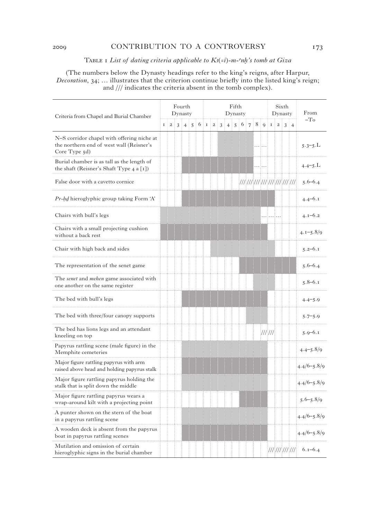### 2009 CONTRIBUTION TO A CONTROVERSY 173

#### TABLE I List of dating criteria applicable to  $K_3(z_i)$ -m- $n_i$ 's tomb at Giza

(The numbers below the Dynasty headings refer to the king's reigns, after Harpur, *Decoration*, 34; … illustrates that the criterion continue briefly into the listed king's reign; and /// indicates the criteria absent in the tomb complex).

| Criteria from Chapel and Burial Chamber                                                                 |             |                |   | Fourth<br>Dynasty |   |   | Fifth<br>Dynasty |                |   |                |   |   |  |                |   |   |               |                | Sixth<br>Dynasty |                | From            |
|---------------------------------------------------------------------------------------------------------|-------------|----------------|---|-------------------|---|---|------------------|----------------|---|----------------|---|---|--|----------------|---|---|---------------|----------------|------------------|----------------|-----------------|
|                                                                                                         | $\mathbf I$ | $\overline{a}$ | 3 | $\overline{4}$    | 5 | 6 | $\mathbf I$      | $\overline{a}$ | 3 | $\overline{4}$ | 5 | 6 |  | $\overline{7}$ | 8 | Q | $\mathbf I$   | $\overline{2}$ | 3                | $\overline{4}$ | $-To$           |
| N-S corridor chapel with offering niche at<br>the northern end of west wall (Reisner's<br>Core Type 5d) |             |                |   |                   |   |   |                  |                |   |                |   |   |  |                |   |   |               |                |                  |                | $5.3 - 5.L$     |
| Burial chamber is as tall as the length of<br>the shaft (Reisner's Shaft Type 4 a [1])                  |             |                |   |                   |   |   |                  |                |   |                |   |   |  |                |   |   |               |                |                  |                | $4.4 - 5.L$     |
| False door with a cavetto cornice                                                                       |             |                |   |                   |   |   |                  |                |   |                |   |   |  |                |   |   |               |                |                  |                | $5.6 - 6.4$     |
| <i>Pr-hd</i> hieroglyphic group taking Form 'A'                                                         |             |                |   |                   |   |   |                  |                |   |                |   |   |  |                |   |   |               |                |                  |                | $4.4 - 6.1$     |
| Chairs with bull's legs                                                                                 |             |                |   |                   |   |   |                  |                |   |                |   |   |  |                |   |   |               |                |                  |                | $4.1 - 6.2$     |
| Chairs with a small projecting cushion<br>without a back rest                                           |             |                |   |                   |   |   |                  |                |   |                |   |   |  |                |   |   |               |                |                  |                | $4.1 - 5.8/9$   |
| Chair with high back and sides                                                                          |             |                |   |                   |   |   |                  |                |   |                |   |   |  |                |   |   |               |                |                  |                | $5.2 - 6.1$     |
| The representation of the senet game                                                                    |             |                |   |                   |   |   |                  |                |   |                |   |   |  |                |   |   |               |                |                  |                | $5.6 - 6.4$     |
| The senet and mehen game associated with<br>one another on the same register                            |             |                |   |                   |   |   |                  |                |   |                |   |   |  |                |   |   |               |                |                  |                | $5.8 - 6.1$     |
| The bed with bull's legs                                                                                |             |                |   |                   |   |   |                  |                |   |                |   |   |  |                |   |   |               |                |                  |                | $4.4 - 5.9$     |
| The bed with three/four canopy supports                                                                 |             |                |   |                   |   |   |                  |                |   |                |   |   |  |                |   |   |               |                |                  |                | $5.7 - 5.9$     |
| The bed has lions legs and an attendant<br>kneeling on top                                              |             |                |   |                   |   |   |                  |                |   |                |   |   |  |                |   |   | $\frac{1}{1}$ |                |                  |                | $5.9 - 6.1$     |
| Papyrus rattling scene (male figure) in the<br>Memphite cemeteries                                      |             |                |   |                   |   |   |                  |                |   |                |   |   |  |                |   |   |               |                |                  |                | $4.4 - 5.8/9$   |
| Major figure rattling papyrus with arm<br>raised above head and holding papyrus stalk                   |             |                |   |                   |   |   |                  |                |   |                |   |   |  |                |   |   |               |                |                  |                | $4.4/6 - 5.8/9$ |
| Major figure rattling papyrus holding the<br>stalk that is split down the middle                        |             |                |   |                   |   |   |                  |                |   |                |   |   |  |                |   |   |               |                |                  |                | $4.4/6 - 5.8/9$ |
| Major figure rattling papyrus wears a<br>wrap-around kilt with a projecting point                       |             |                |   |                   |   |   |                  |                |   |                |   |   |  |                |   |   |               |                |                  |                | $5.6 - 5.8/9$   |
| A punter shown on the stern of the boat<br>in a papyrus rattling scene                                  |             |                |   |                   |   |   |                  |                |   |                |   |   |  |                |   |   |               |                |                  |                | $4.4/6 - 5.8/9$ |
| A wooden deck is absent from the papyrus<br>boat in papyrus rattling scenes                             |             |                |   |                   |   |   |                  |                |   |                |   |   |  |                |   |   |               |                |                  |                | $4.4/6 - 5.8/9$ |
| Mutilation and omission of certain<br>hieroglyphic signs in the burial chamber                          |             |                |   |                   |   |   |                  |                |   |                |   |   |  |                |   |   |               |                |                  |                |                 |